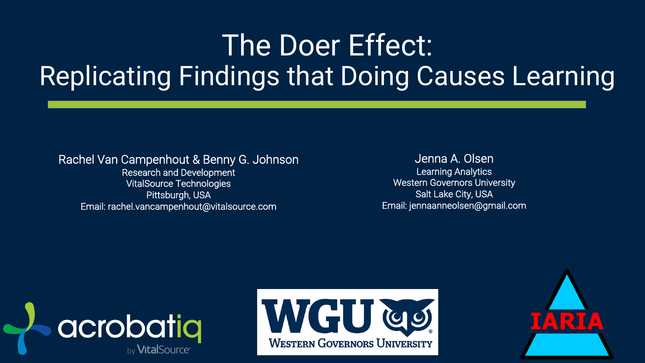## The Doer Effect: Replicating Findings that Doing Causes Learning

#### Rachel Van Campenhout & Benny G. Johnson

Research and Development VitalSource Technologies Pittsburgh, USA Email: rachel.vancampenhout@vitalsource.com





Jenna A. Olsen Learning Analytics Western Governors University Salt Lake City, USA Email: jennaanneolsen@gmail.com



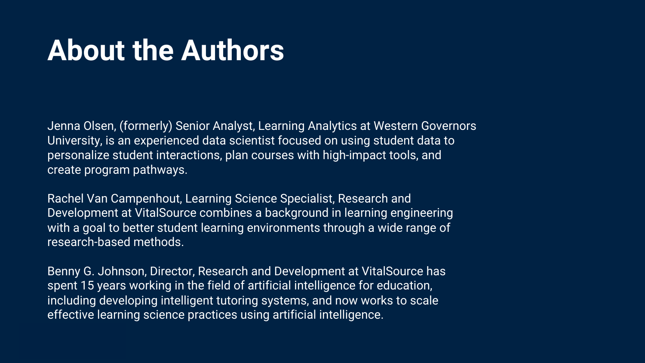Jenna Olsen, (formerly) Senior Analyst, Learning Analytics at Western Governors University, is an experienced data scientist focused on using student data to personalize student interactions, plan courses with high-impact tools, and create program pathways.

## **About the Authors**

Rachel Van Campenhout, Learning Science Specialist, Research and Development at VitalSource combines a background in learning engineering with a goal to better student learning environments through a wide range of research-based methods.

Benny G. Johnson, Director, Research and Development at VitalSource has spent 15 years working in the field of artificial intelligence for education, including developing intelligent tutoring systems, and now works to scale effective learning science practices using artificial intelligence.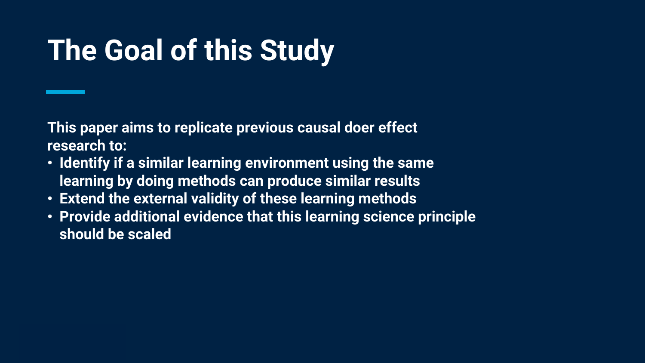# **The Goal of this Study**

**This paper aims to replicate previous causal doer effect research to:**

- **learning by doing methods can produce similar results**
- **Identify if a similar learning environment using the same** • **Extend the external validity of these learning methods** • **Provide additional evidence that this learning science principle**
- **should be scaled**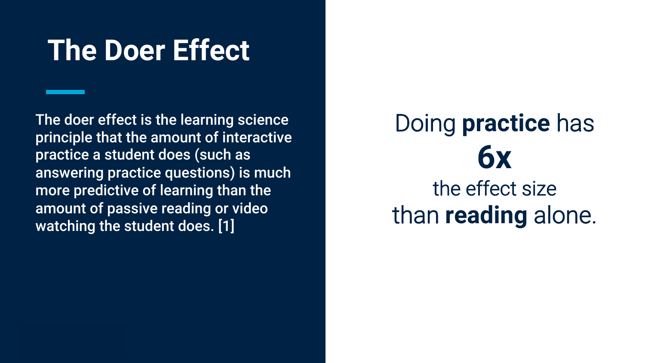## **The Doer Effect**

The doer effect is the learning science principle that the amount of interactive practice a student does (such as answering practice questions) is much more predictive of learning than the amount of passive reading or video watching the student does. [1]

### Doing **practice** has **6x** the effect size than **reading** alone.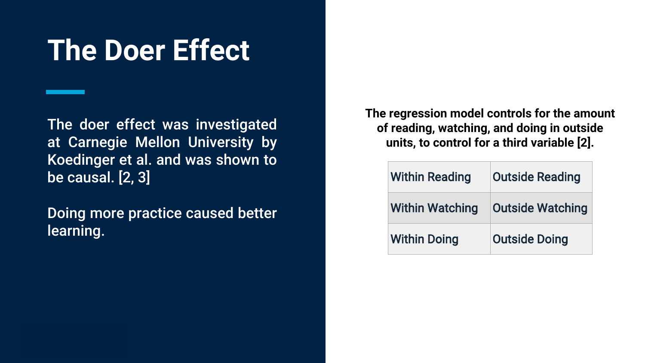## **The Doer Effect**

The doer effect was investigated at Carnegie Mellon University by Koedinger et al. and was shown to be causal. [2, 3]

Doing more practice caused better learning.

#### **The regression model controls for the amount of reading, watching, and doing in outside units, to control for a third variable [2].**

| <b>Within Reading</b>  | <b>Outside Reading</b>  |
|------------------------|-------------------------|
| <b>Within Watching</b> | <b>Outside Watching</b> |
| <b>Within Doing</b>    | <b>Outside Doing</b>    |

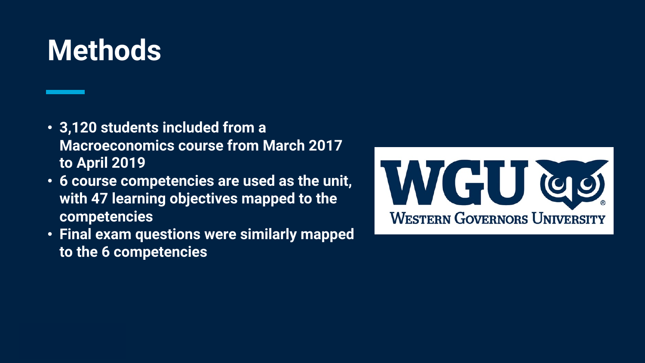## **Methods**

- **3,120 students included from a Macroeconomics course from March 2017 to April 2019**
- **6 course competencies are used as the unit, with 47 learning objectives mapped to the competencies**
- **Final exam questions were similarly mapped to the 6 competencies**

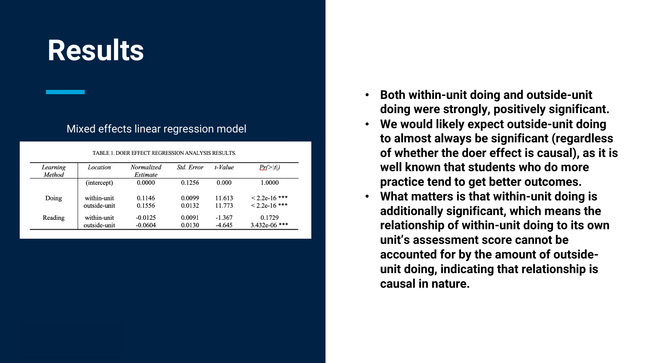## **Results**

- **Both within-unit doing and outside-unit doing were strongly, positively significant.**
- **We would likely expect outside-unit doing to almost always be significant (regardless of whether the doer effect is causal), as it is well known that students who do more practice tend to get better outcomes.**
- **What matters is that within-unit doing is additionally significant, which means the relationship of within-unit doing to its own unit's assessment score cannot be accounted for by the amount of outsideunit doing, indicating that relationship is causal in nature.**



#### Mixed effects linear regression model

| Learning<br>Method | Location     | <i>Normalized</i><br>Estimate | Std. Error | $t$ -Value | $Px$ (> t )     |
|--------------------|--------------|-------------------------------|------------|------------|-----------------|
|                    | (intercept)  | 0.0000                        | 0.1256     | 0.000      | 1.0000          |
| Doing              | within-unit  | 0.1146                        | 0.0099     | 11.613     | $< 2.2e-16$ *** |
|                    | outside-unit | 0.1556                        | 0.0132     | 11.773     | $< 2.2e-16$ *** |
| Reading            | within-unit  | $-0.0125$                     | 0.0091     | $-1.367$   | 0.1729          |
|                    | outside-unit | $-0.0604$                     | 0.0130     | $-4.645$   | $3.432e-06$ *** |

TABLE 1. DOER EFFECT REGRESSION ANALYSIS RESULTS.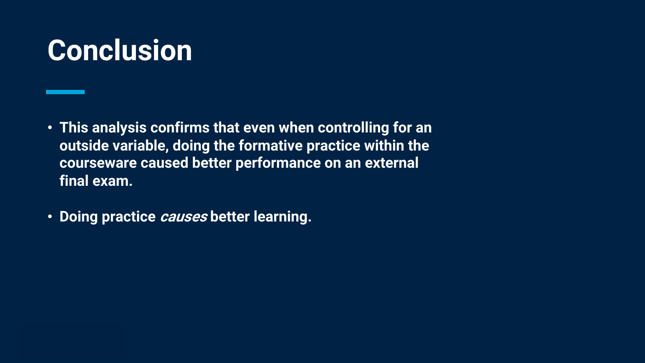## **Conclusion**

- **This analysis confirms that even when controlling for an outside variable, doing the formative practice within the courseware caused better performance on an external final exam.**
- **Doing practice causes better learning.**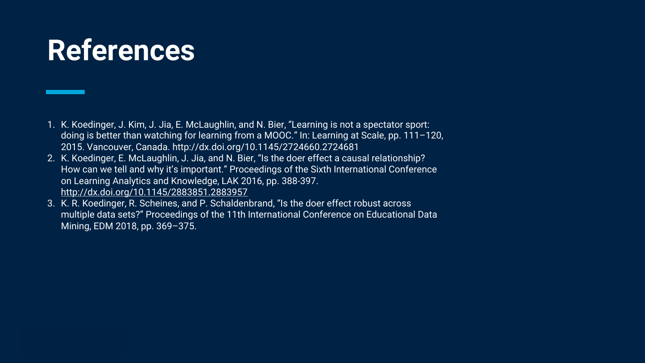## **References**

- 1. K. Koedinger, J. Kim, J. Jia, E. McLaughlin, and N. Bier, "Learning is not a spectator sport: doing is better than watching for learning from a MOOC." In: Learning at Scale, pp. 111–120, 2015. Vancouver, Canada[.](http://dx.doi.org/10.1145/2724660.2724681) http://dx.doi.org/10.1145/2724660.2724681
- 2. K. Koedinger, E. McLaughlin, J. Jia, and N. Bier, "Is the doer effect a causal relationship? How can we tell and why it's important." Proceedings of the Sixth International Conference on Learning Analytics and Knowledge, LAK 2016, pp. 388-397. <http://dx.doi.org/10.1145/2883851.2883957>
- 3. K. R. Koedinger, R. Scheines, and P. Schaldenbrand, "Is the doer effect robust across multiple data sets?" Proceedings of the 11th International Conference on Educational Data Mining, EDM 2018, pp. 369–375.